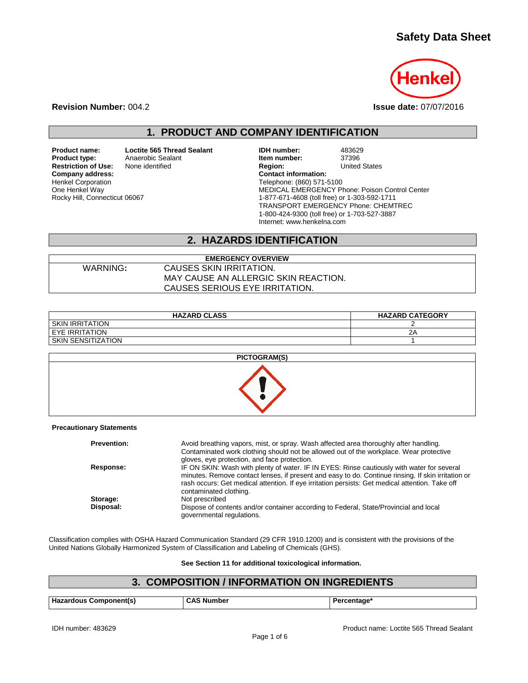# **Safety Data Sheet**



**Revision Number:** 004.2 **Issue date:** 07/07/2016

# **1. PRODUCT AND COMPANY IDENTIFICATION**

**Product name: Loctite 565 Thread Sealant IDH number:** 483629<br> **Product type:** Anaerobic Sealant **Internal Sealant Item number:** 37396 **Restriction of Use:** None identified **Region:** Region: **Company address:** Company address: **Company address:** Henkel Corporation One Henkel Way Rocky Hill, Connecticut 06067

**Product Sealant Realant Realant Realant Realant Realant Realant Realant Realant Realant Realant Realant Realant Communist Charles States**<br> **Realant Realant Realant Charles Realant Charles Charles Charles Charles Realant C** Telephone: (860) 571-5100 MEDICAL EMERGENCY Phone: Poison Control Center 1-877-671-4608 (toll free) or 1-303-592-1711 TRANSPORT EMERGENCY Phone: CHEMTREC 1-800-424-9300 (toll free) or 1-703-527-3887 Internet: www.henkelna.com

## **2. HAZARDS IDENTIFICATION**

**EMERGENCY OVERVIEW** WARNING**:** CAUSES SKIN IRRITATION. MAY CAUSE AN ALLERGIC SKIN REACTION. CAUSES SERIOUS EYE IRRITATION.

| <b>HAZARD CLASS</b>    | <b>HAZARD CATEGORY</b> |
|------------------------|------------------------|
| <b>SKIN IRRITATION</b> |                        |
| I EYE IRRITATION       | 2Α                     |
| SKIN SENSITIZATION     |                        |

| <b>PICTOGRAM(S)</b> |  |
|---------------------|--|
|                     |  |

**Precautionary Statements**

| <b>Prevention:</b> | Avoid breathing vapors, mist, or spray. Wash affected area thoroughly after handling.<br>Contaminated work clothing should not be allowed out of the workplace. Wear protective<br>gloves, eye protection, and face protection.                                                                                               |
|--------------------|-------------------------------------------------------------------------------------------------------------------------------------------------------------------------------------------------------------------------------------------------------------------------------------------------------------------------------|
| Response:          | IF ON SKIN: Wash with plenty of water. IF IN EYES: Rinse cautiously with water for several<br>minutes. Remove contact lenses, if present and easy to do. Continue rinsing. If skin irritation or<br>rash occurs: Get medical attention. If eye irritation persists: Get medical attention. Take off<br>contaminated clothing. |
| Storage:           | Not prescribed                                                                                                                                                                                                                                                                                                                |
| Disposal:          | Dispose of contents and/or container according to Federal, State/Provincial and local<br>governmental regulations.                                                                                                                                                                                                            |

Classification complies with OSHA Hazard Communication Standard (29 CFR 1910.1200) and is consistent with the provisions of the United Nations Globally Harmonized System of Classification and Labeling of Chemicals (GHS).

**See Section 11 for additional toxicological information.**

### **3. COMPOSITION / INFORMATION ON INGREDIENTS**

| Hazardous Component(s) | <b>CAS Number</b> | Percentage* |
|------------------------|-------------------|-------------|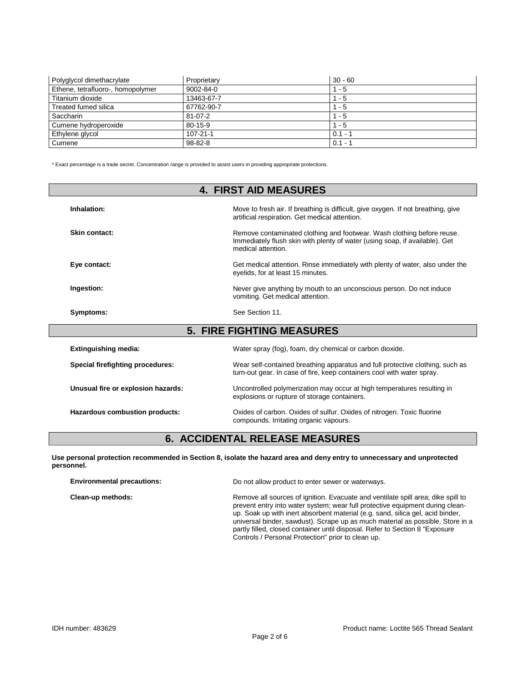| Polyglycol dimethacrylate         | Proprietary     | $30 - 60$ |
|-----------------------------------|-----------------|-----------|
| Ethene, tetrafluoro-, homopolymer | $9002 - 84 - 0$ | $1 - 5$   |
| Titanium dioxide                  | 13463-67-7      | 1 - 5     |
| Treated fumed silica              | 67762-90-7      | $1 - 5$   |
| Saccharin                         | $81 - 07 - 2$   | $1 - 5$   |
| Cumene hydroperoxide              | 80-15-9         | $1 - 5$   |
| Ethylene glycol                   | $107 - 21 - 1$  | $0.1 - ?$ |
| Cumene                            | $98 - 82 - 8$   | $0.1 - 1$ |

\* Exact percentage is a trade secret. Concentration range is provided to assist users in providing appropriate protections.

|                                    | <b>4. FIRST AID MEASURES</b>                                                                                                                                                |  |  |  |
|------------------------------------|-----------------------------------------------------------------------------------------------------------------------------------------------------------------------------|--|--|--|
| Inhalation:                        | Move to fresh air. If breathing is difficult, give oxygen. If not breathing, give<br>artificial respiration. Get medical attention.                                         |  |  |  |
| Skin contact:                      | Remove contaminated clothing and footwear. Wash clothing before reuse.<br>Immediately flush skin with plenty of water (using soap, if available). Get<br>medical attention. |  |  |  |
| Eye contact:                       | Get medical attention. Rinse immediately with plenty of water, also under the<br>eyelids, for at least 15 minutes.                                                          |  |  |  |
| Ingestion:                         | Never give anything by mouth to an unconscious person. Do not induce<br>vomiting. Get medical attention.                                                                    |  |  |  |
| Symptoms:                          | See Section 11.                                                                                                                                                             |  |  |  |
| <b>5. FIRE FIGHTING MEASURES</b>   |                                                                                                                                                                             |  |  |  |
| <b>Extinguishing media:</b>        | Water spray (fog), foam, dry chemical or carbon dioxide.                                                                                                                    |  |  |  |
| Special firefighting procedures:   | Wear self-contained breathing apparatus and full protective clothing, such as<br>turn-out gear. In case of fire, keep containers cool with water spray.                     |  |  |  |
| Unusual fire or explosion hazards: | Uncontrolled polymerization may occur at high temperatures resulting in<br>explosions or rupture of storage containers.                                                     |  |  |  |

Hazardous combustion products: **Oxides of carbon. Oxides of sulfur.** Oxides of nitrogen. Toxic fluorine compounds. Irritating organic vapours.

### **6. ACCIDENTAL RELEASE MEASURES**

**Use personal protection recommended in Section 8, isolate the hazard area and deny entry to unnecessary and unprotected personnel.**

| <b>Environmental precautions:</b> | Do not allow product to enter sewer or waterways.                                                                                                                                                                                                                                                                                                                                                                                                                            |  |
|-----------------------------------|------------------------------------------------------------------------------------------------------------------------------------------------------------------------------------------------------------------------------------------------------------------------------------------------------------------------------------------------------------------------------------------------------------------------------------------------------------------------------|--|
| Clean-up methods:                 | Remove all sources of ignition. Evacuate and ventilate spill area; dike spill to<br>prevent entry into water system; wear full protective equipment during clean-<br>up. Soak up with inert absorbent material (e.g. sand, silica gel, acid binder,<br>universal binder, sawdust). Scrape up as much material as possible. Store in a<br>partly filled, closed container until disposal. Refer to Section 8 "Exposure"<br>Controls / Personal Protection" prior to clean up. |  |
|                                   |                                                                                                                                                                                                                                                                                                                                                                                                                                                                              |  |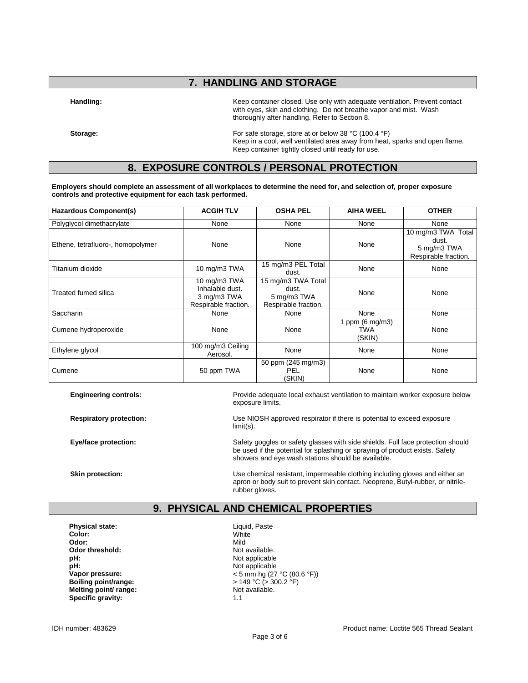### **7. HANDLING AND STORAGE**

**Handling:** Keep container closed. Use only with adequate ventilation. Prevent contact with eyes, skin and clothing. Do not breathe vapor and mist. Wash thoroughly after handling. Refer to Section 8.

**Storage:** For safe storage, store at or below 38 °C (100.4 °F) Keep in a cool, well ventilated area away from heat, sparks and open flame. Keep container tightly closed until ready for use.

### **8. EXPOSURE CONTROLS / PERSONAL PROTECTION**

**Employers should complete an assessment of all workplaces to determine the need for, and selection of, proper exposure controls and protective equipment for each task performed.**

| Hazardous Component(s)            | <b>ACGIH TLV</b>                                                       | <b>OSHA PEL</b>                                                    | <b>AIHA WEEL</b>                           | <b>OTHER</b>                                                       |
|-----------------------------------|------------------------------------------------------------------------|--------------------------------------------------------------------|--------------------------------------------|--------------------------------------------------------------------|
| Polyglycol dimethacrylate         | None                                                                   | None                                                               | None                                       | None                                                               |
| Ethene, tetrafluoro-, homopolymer | None                                                                   | None                                                               | None                                       | 10 mg/m3 TWA Total<br>dust.<br>5 mg/m3 TWA<br>Respirable fraction. |
| Titanium dioxide                  | 10 mg/m3 TWA                                                           | 15 mg/m3 PEL Total<br>dust.                                        | None                                       | None                                                               |
| Treated fumed silica              | 10 mg/m3 TWA<br>Inhalable dust.<br>3 mg/m3 TWA<br>Respirable fraction. | 15 mg/m3 TWA Total<br>dust.<br>5 mg/m3 TWA<br>Respirable fraction. | None                                       | None                                                               |
| Saccharin                         | None                                                                   | None                                                               | None                                       | None                                                               |
| Cumene hydroperoxide              | None                                                                   | None                                                               | 1 ppm $(6 \text{ mg/m3})$<br>TWA<br>(SKIN) | None                                                               |
| Ethylene glycol                   | 100 mg/m3 Ceiling<br>Aerosol.                                          | None                                                               | None                                       | None                                                               |
| Cumene                            | 50 ppm TWA                                                             | 50 ppm (245 mg/m3)<br><b>PEL</b><br>(SKIN)                         | None                                       | None                                                               |

**Engineering controls:** Provide adequate local exhaust ventilation to maintain worker exposure below exposure limits.

**Respiratory protection:** Use NIOSH approved respirator if there is potential to exceed exposure limit(s).

**Eye/face protection:** Safety goggles or safety glasses with side shields. Full face protection should be used if the potential for splashing or spraying of product exists. Safety showers and eye wash stations should be available.

**Skin protection:** The Use chemical resistant, impermeable clothing including gloves and either an apron or body suit to prevent skin contact. Neoprene, Butyl-rubber, or nitrilerubber gloves.

### **9. PHYSICAL AND CHEMICAL PROPERTIES**

**Physical state:** Liquid, Paste<br> **Color:** Color: White **Color:** White **Odor:** Mild **Odor threshold:** Not available.<br> **pH:** Not applicable **pH:**<br> **Vapor pressure:**<br>
Vapor pressure:<br>  $\angle$  5 mm hq (27 **Melting point/ range: Specific gravity:** 1.1

Not applicable **Vapor pressure:**  $\leftarrow$  5 mm hg (27 °C (80.6 °F))<br> **Boiling point/range:**  $\leftarrow$  5 149 °C (> 300.2 °F) **boiling Point- Boiling point**<br>Not available.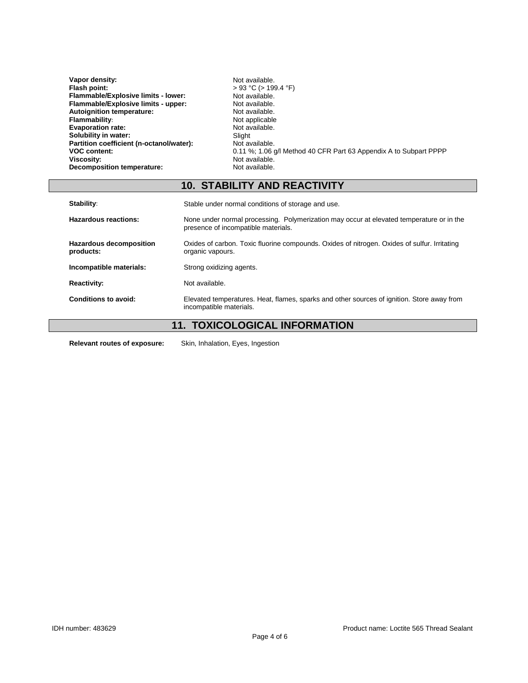| Vapor density:                           | Not available.                                                    |
|------------------------------------------|-------------------------------------------------------------------|
| Flash point:                             | $> 93$ °C ( $> 199.4$ °F)                                         |
| Flammable/Explosive limits - lower:      | Not available.                                                    |
| Flammable/Explosive limits - upper:      | Not available.                                                    |
| <b>Autoignition temperature:</b>         | Not available.                                                    |
| <b>Flammability:</b>                     | Not applicable                                                    |
| <b>Evaporation rate:</b>                 | Not available.                                                    |
| Solubility in water:                     | Slight                                                            |
| Partition coefficient (n-octanol/water): | Not available.                                                    |
| <b>VOC content:</b>                      | 0.11 %; 1.06 g/l Method 40 CFR Part 63 Appendix A to Subpart PPPP |
| Viscosity:                               | Not available.                                                    |
| Decomposition temperature:               | Not available.                                                    |

# **10. STABILITY AND REACTIVITY**

| Stability:                                  | Stable under normal conditions of storage and use.                                                                              |  |
|---------------------------------------------|---------------------------------------------------------------------------------------------------------------------------------|--|
| Hazardous reactions:                        | None under normal processing. Polymerization may occur at elevated temperature or in the<br>presence of incompatible materials. |  |
| <b>Hazardous decomposition</b><br>products: | Oxides of carbon. Toxic fluorine compounds. Oxides of nitrogen. Oxides of sulfur. Irritating<br>organic vapours.                |  |
| Incompatible materials:                     | Strong oxidizing agents.                                                                                                        |  |
| <b>Reactivity:</b>                          | Not available.                                                                                                                  |  |
| Conditions to avoid:                        | Elevated temperatures. Heat, flames, sparks and other sources of ignition. Store away from<br>incompatible materials.           |  |

# **11. TOXICOLOGICAL INFORMATION**

**Relevant routes of exposure:** Skin, Inhalation, Eyes, Ingestion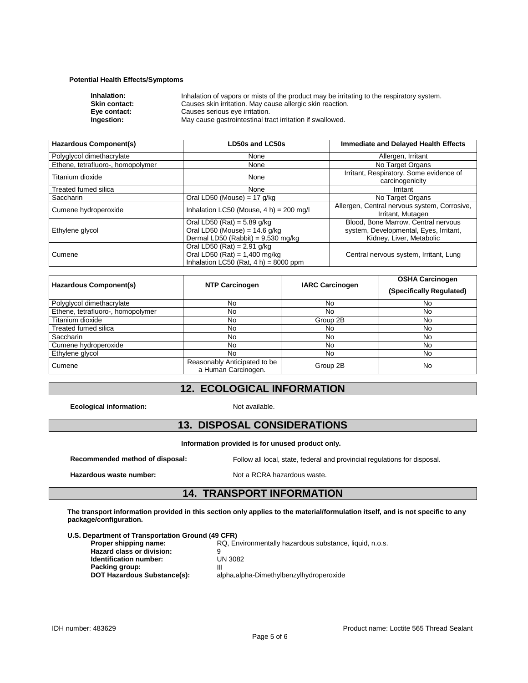#### **Potential Health Effects/Symptoms**

| Inhalation of vapors or mists of the product may be irritating to the respiratory system. |
|-------------------------------------------------------------------------------------------|
| Causes skin irritation. May cause allergic skin reaction.                                 |
| Causes serious eye irritation.                                                            |
| May cause gastrointestinal tract irritation if swallowed.                                 |
|                                                                                           |

| <b>Hazardous Component(s)</b>     | <b>LD50s and LC50s</b>                                                                                       | Immediate and Delayed Health Effects                                                                      |
|-----------------------------------|--------------------------------------------------------------------------------------------------------------|-----------------------------------------------------------------------------------------------------------|
| Polyglycol dimethacrylate         | None                                                                                                         | Allergen, Irritant                                                                                        |
| Ethene, tetrafluoro-, homopolymer | None                                                                                                         | No Target Organs                                                                                          |
| Titanium dioxide                  | None                                                                                                         | Irritant, Respiratory, Some evidence of<br>carcinogenicity                                                |
| Treated fumed silica              | None                                                                                                         | Irritant                                                                                                  |
| Saccharin                         | Oral LD50 (Mouse) = $17$ g/kg                                                                                | No Target Organs                                                                                          |
| Cumene hydroperoxide              | Inhalation LC50 (Mouse, $4 h$ ) = 200 mg/l                                                                   | Allergen, Central nervous system, Corrosive,<br>Irritant, Mutagen                                         |
| Ethylene glycol                   | Oral LD50 (Rat) = $5.89$ g/kg<br>Oral LD50 (Mouse) = $14.6$ g/kg<br>Dermal LD50 (Rabbit) = $9,530$ mg/kg     | Blood, Bone Marrow, Central nervous<br>system, Developmental, Eyes, Irritant,<br>Kidney, Liver, Metabolic |
| Cumene                            | Oral LD50 (Rat) = $2.91$ g/kg<br>Oral LD50 (Rat) = $1,400$ mg/kg<br>Inhalation LC50 (Rat, $4 h$ ) = 8000 ppm | Central nervous system, Irritant, Lung                                                                    |

| <b>Hazardous Component(s)</b>     | <b>NTP Carcinogen</b>                               | <b>IARC Carcinogen</b> | <b>OSHA Carcinogen</b><br>(Specifically Regulated) |
|-----------------------------------|-----------------------------------------------------|------------------------|----------------------------------------------------|
| Polyglycol dimethacrylate         | No                                                  | No                     | No                                                 |
| Ethene, tetrafluoro-, homopolymer | No                                                  | No                     | No                                                 |
| Titanium dioxide                  | No                                                  | Group 2B               | No                                                 |
| Treated fumed silica              | No                                                  | No                     | No                                                 |
| <b>Saccharin</b>                  | No                                                  | No                     | No                                                 |
| Cumene hydroperoxide              | No                                                  | No                     | No                                                 |
| Ethylene glycol                   | No.                                                 | No                     | No                                                 |
| Cumene                            | Reasonably Anticipated to be<br>a Human Carcinogen. | Group 2B               | No                                                 |

### **12. ECOLOGICAL INFORMATION**

**Ecological information:** Not available.

### **13. DISPOSAL CONSIDERATIONS**

**Information provided is for unused product only.**

**Recommended method of disposal:** Follow all local, state, federal and provincial regulations for disposal.

Hazardous waste number: Not a RCRA hazardous waste.

### **14. TRANSPORT INFORMATION**

**The transport information provided in this section only applies to the material/formulation itself, and is not specific to any package/configuration.**

**U.S. Department of Transportation Ground (49 CFR)**

| Proper shipping name:       | RQ, Environmentally hazardous substance, liquid, n.o.s. |
|-----------------------------|---------------------------------------------------------|
| Hazard class or division:   | 9                                                       |
| Identification number:      | UN 3082                                                 |
| Packing group:              | Ш                                                       |
| DOT Hazardous Substance(s): | alpha, alpha-Dimethylbenzylhydroperoxide                |
|                             |                                                         |